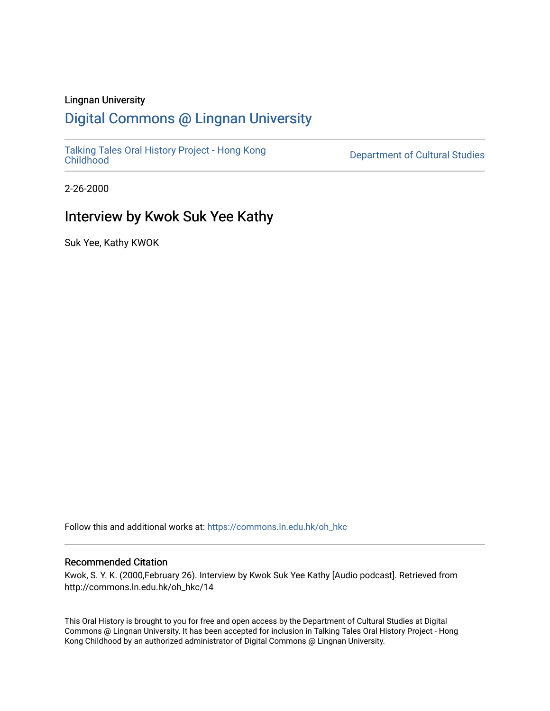#### Lingnan University

## [Digital Commons @ Lingnan University](https://commons.ln.edu.hk/)

[Talking Tales Oral History Project - Hong Kong](https://commons.ln.edu.hk/oh_hkc)

Department of Cultural Studies

2-26-2000

## Interview by Kwok Suk Yee Kathy

Suk Yee, Kathy KWOK

Follow this and additional works at: [https://commons.ln.edu.hk/oh\\_hkc](https://commons.ln.edu.hk/oh_hkc?utm_source=commons.ln.edu.hk%2Foh_hkc%2F14&utm_medium=PDF&utm_campaign=PDFCoverPages) 

#### Recommended Citation

Kwok, S. Y. K. (2000,February 26). Interview by Kwok Suk Yee Kathy [Audio podcast]. Retrieved from http://commons.ln.edu.hk/oh\_hkc/14

This Oral History is brought to you for free and open access by the Department of Cultural Studies at Digital Commons @ Lingnan University. It has been accepted for inclusion in Talking Tales Oral History Project - Hong Kong Childhood by an authorized administrator of Digital Commons @ Lingnan University.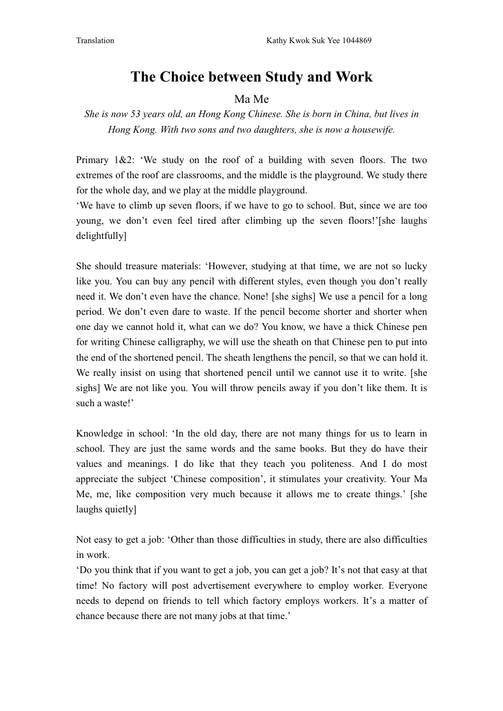# The Choice between Study and Work

### Ma Me

## She is now 53 years old, an Hong Kong Chinese. She is born in China, but lives in Hong Kong. With two sons and two daughters, she is now a housewife.

Primary  $1\&2$ : 'We study on the roof of a building with seven floors. The two extremes of the roof are classrooms, and the middle is the playground. We study there for the whole day, and we play at the middle playground.

We have to climb up seven floors, if we have to go to school. But, since we are too young, we don't even feel tired after climbing up the seven floors!'[she laughs delightfully]

She should treasure materials: 'However, studying at that time, we are not so lucky like you. You can buy any pencil with different styles, even though you don't really need it. We don't even have the chance. None! [she sighs] We use a pencil for a long period. We don't even dare to waste. If the pencil become shorter and shorter when one day we cannot hold it, what can we do? You know, we have a thick Chinese pen for writing Chinese calligraphy, we will use the sheath on that Chinese pen to put into the end of the shortened pencil. The sheath lengthens the pencil, so that we can hold it. We really insist on using that shortened pencil until we cannot use it to write. [she sighs] We are not like you. You will throw pencils away if you don't like them. It is such a waste!'

Knowledge in school: 'In the old day, there are not many things for us to learn in school. They are just the same words and the same books. But they do have their values and meanings. I do like that they teach you politeness. And I do most appreciate the subject 'Chinese composition', it stimulates your creativity. Your Ma Me, me, like composition very much because it allows me to create things.' [she laughs quietly]

Not easy to get a job: 'Other than those difficulties in study, there are also difficulties in work.

'Do you think that if you want to get a job, you can get a job? It's not that easy at that time! No factory will post advertisement everywhere to employ worker. Everyone needs to depend on friends to tell which factory employs workers. It's a matter of chance because there are not many jobs at that time.'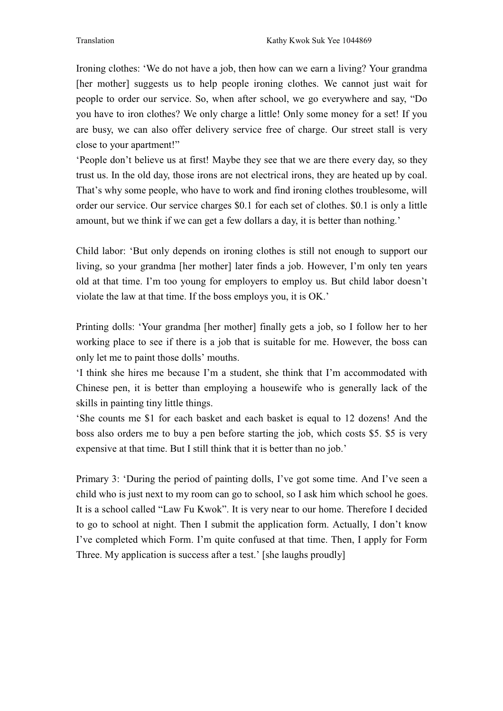Ironing clothes: 'We do not have a job, then how can we earn a living? Your grandma [her mother] suggests us to help people ironing clothes. We cannot just wait for people to order our service. So, when after school, we go everywhere and say, "Do you have to iron clothes? We only charge a little! Only some money for a set! If you are busy, we can also offer delivery service free of charge. Our street stall is very close to your apartment!"

'People don't believe us at first! Maybe they see that we are there every day, so they trust us. In the old day, those irons are not electrical irons, they are heated up by coal. That's why some people, who have to work and find ironing clothes troublesome, will order our service. Our service charges \$0.1 for each set of clothes. \$0.1 is only a little amount, but we think if we can get a few dollars a day, it is better than nothing.'

Child labor: 'But only depends on ironing clothes is still not enough to support our living, so your grandma [her mother] later finds a job. However, I'm only ten years old at that time. I'm too young for employers to employ us. But child labor doesn't violate the law at that time. If the boss employs you, it is OK.'

Printing dolls: 'Your grandma [her mother] finally gets a job, so I follow her to her working place to see if there is a job that is suitable for me. However, the boss can only let me to paint those dolls' mouths.

'I think she hires me because I'm a student, she think that I'm accommodated with Chinese pen, it is better than employing a housewife who is generally lack of the skills in painting tiny little things.

'She counts me \$1 for each basket and each basket is equal to 12 dozens! And the boss also orders me to buy a pen before starting the job, which costs \$5. \$5 is very expensive at that time. But I still think that it is better than no job.'

Primary 3: 'During the period of painting dolls, I've got some time. And I've seen a child who is just next to my room can go to school, so I ask him which school he goes. It is a school called "Law Fu Kwok". It is very near to our home. Therefore I decided to go to school at night. Then I submit the application form. Actually, I don't know I've completed which Form. I'm quite confused at that time. Then, I apply for Form Three. My application is success after a test.' [she laughs proudly]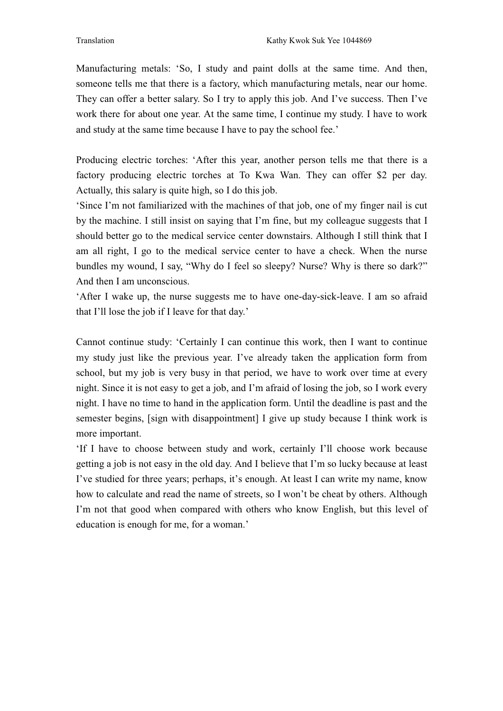Manufacturing metals: 'So, I study and paint dolls at the same time. And then, someone tells me that there is a factory, which manufacturing metals, near our home. They can offer a better salary. So I try to apply this job. And I've success. Then I've work there for about one year. At the same time, I continue my study. I have to work and study at the same time because I have to pay the school fee.'

Producing electric torches: 'After this year, another person tells me that there is a factory producing electric torches at To Kwa Wan. They can offer \$2 per day. Actually, this salary is quite high, so I do this job.

'Since I'm not familiarized with the machines of that job, one of my finger nail is cut by the machine. I still insist on saying that I'm fine, but my colleague suggests that I should better go to the medical service center downstairs. Although I still think that I am all right, I go to the medical service center to have a check. When the nurse bundles my wound, I say, "Why do I feel so sleepy? Nurse? Why is there so dark?" And then I am unconscious.

'After I wake up, the nurse suggests me to have one-day-sick-leave. I am so afraid that I'll lose the job if I leave for that day.'

Cannot continue study: 'Certainly I can continue this work, then I want to continue my study just like the previous year. I've already taken the application form from school, but my job is very busy in that period, we have to work over time at every night. Since it is not easy to get a job, and I'm afraid of losing the job, so I work every night. I have no time to hand in the application form. Until the deadline is past and the semester begins, [sign with disappointment] I give up study because I think work is more important.

'If I have to choose between study and work, certainly I'll choose work because getting a job is not easy in the old day. And I believe that I'm so lucky because at least I've studied for three years; perhaps, it's enough. At least I can write my name, know how to calculate and read the name of streets, so I won't be cheat by others. Although I'm not that good when compared with others who know English, but this level of education is enough for me, for a woman.'